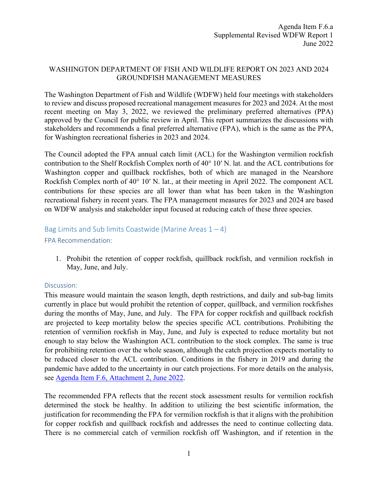## WASHINGTON DEPARTMENT OF FISH AND WILDLIFE REPORT ON 2023 AND 2024 GROUNDFISH MANAGEMENT MEASURES

The Washington Department of Fish and Wildlife (WDFW) held four meetings with stakeholders to review and discuss proposed recreational management measures for 2023 and 2024. At the most recent meeting on May 3, 2022, we reviewed the preliminary preferred alternatives (PPA) approved by the Council for public review in April. This report summarizes the discussions with stakeholders and recommends a final preferred alternative (FPA), which is the same as the PPA, for Washington recreational fisheries in 2023 and 2024.

The Council adopted the FPA annual catch limit (ACL) for the Washington vermilion rockfish contribution to the Shelf Rockfish Complex north of 40° 10′ N. lat. and the ACL contributions for Washington copper and quillback rockfishes, both of which are managed in the Nearshore Rockfish Complex north of 40° 10′ N. lat., at their meeting in April 2022. The component ACL contributions for these species are all lower than what has been taken in the Washington recreational fishery in recent years. The FPA management measures for 2023 and 2024 are based on WDFW analysis and stakeholder input focused at reducing catch of these three species.

## Bag Limits and Sub limits Coastwide (Marine Areas  $1 - 4$ )

## FPA Recommendation:

1. Prohibit the retention of copper rockfish, quillback rockfish, and vermilion rockfish in May, June, and July.

## Discussion:

This measure would maintain the season length, depth restrictions, and daily and sub-bag limits currently in place but would prohibit the retention of copper, quillback, and vermilion rockfishes during the months of May, June, and July. The FPA for copper rockfish and quillback rockfish are projected to keep mortality below the species specific ACL contributions. Prohibiting the retention of vermilion rockfish in May, June, and July is expected to reduce mortality but not enough to stay below the Washington ACL contribution to the stock complex. The same is true for prohibiting retention over the whole season, although the catch projection expects mortality to be reduced closer to the ACL contribution. Conditions in the fishery in 2019 and during the pandemic have added to the uncertainty in our catch projections. For more details on the analysis, see [Agenda Item F.6, Attachment 2,](https://www.pcouncil.org/documents/2022/05/f-6-attachment-2-pacific-coast-groundfish-fishery-2023-2024-harvest-specifications-and-management-measures-analytical-document-electronic-only.pdf/) June 2022.

The recommended FPA reflects that the recent stock assessment results for vermilion rockfish determined the stock be healthy. In addition to utilizing the best scientific information, the justification for recommending the FPA for vermilion rockfish is that it aligns with the prohibition for copper rockfish and quillback rockfish and addresses the need to continue collecting data. There is no commercial catch of vermilion rockfish off Washington, and if retention in the